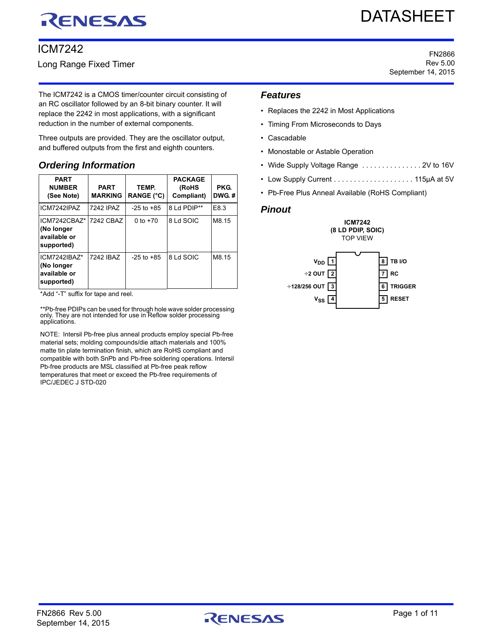# RENESAS

# ICM7242

Long Range Fixed Timer

DATASHEET

FN2866 Rev 5.00 September 14, 2015

The ICM7242 is a CMOS timer/counter circuit consisting of an RC oscillator followed by an 8-bit binary counter. It will replace the 2242 in most applications, with a significant reduction in the number of external components.

Three outputs are provided. They are the oscillator output, and buffered outputs from the first and eighth counters.

# <span id="page-0-0"></span>*Ordering Information*

| <b>PART</b><br><b>NUMBER</b><br>(See Note)               | <b>PART</b><br><b>MARKING</b> | TEMP.<br><b>RANGE (°C)</b> | <b>PACKAGE</b><br>(RoHS<br>Compliant) | PKG.<br>DWG.# |
|----------------------------------------------------------|-------------------------------|----------------------------|---------------------------------------|---------------|
| ICM7242IPAZ                                              | 7242 IPAZ                     | $-25$ to $+85$             | 8 Ld PDIP**                           | E8.3          |
| ICM7242CBAZ*<br>(No longer<br>available or<br>supported) | 7242 CBAZ                     | 0 to $+70$                 | 8 Ld SOIC                             | M8.15         |
| ICM7242IBA7*<br>(No longer<br>available or<br>supported) | 7242 IBAZ                     | $-25$ to $+85$             | 8 Ld SOIC                             | M8.15         |

\*Add "-T" suffix for tape and reel.

\*\*Pb-free PDIPs can be used for through hole wave solder processing<br>only. They are not intended for use in Reflow solder processing<br>applications.

NOTE: Intersil Pb-free plus anneal products employ special Pb-free material sets; molding compounds/die attach materials and 100% matte tin plate termination finish, which are RoHS compliant and compatible with both SnPb and Pb-free soldering operations. Intersil Pb-free products are MSL classified at Pb-free peak reflow temperatures that meet or exceed the Pb-free requirements of IPC/JEDEC J STD-020

### *Features*

- Replaces the 2242 in Most Applications
- Timing From Microseconds to Days
- Cascadable
- Monostable or Astable Operation

**VSS**

**4**

- Wide Supply Voltage Range ...............2V to 16V
- Low Supply Current . . . . . . . . . . . . . . . . . . . . 115µA at 5V
- Pb-Free Plus Anneal Available (RoHS Compliant)

### *Pinout*



**5 RESET**

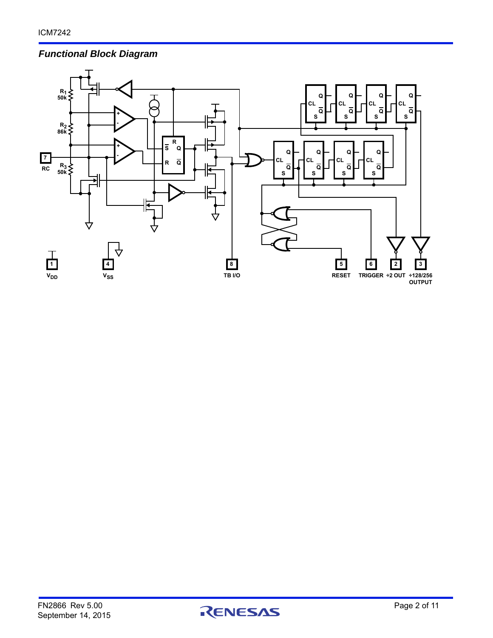# *Functional Block Diagram*



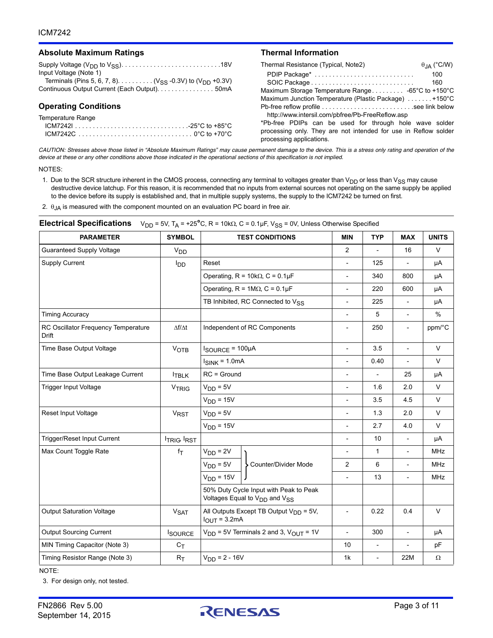#### **Absolute Maximum Ratings Thermal Information**

| , woondto maximum ratingo                                          |                                                                      |
|--------------------------------------------------------------------|----------------------------------------------------------------------|
|                                                                    | Thermal Resistance (Typical, Note2)<br>$\theta$ <sub>JA</sub> (°C/W) |
| Input Voltage (Note 1)                                             | 100<br>PDIP Package*                                                 |
| Terminals (Pins 5, 6, 7, 8) ( $V_{SS}$ -0.3V) to ( $V_{DD}$ +0.3V) | 160                                                                  |
| Continuous Output Current (Each Output). 50mA                      |                                                                      |
|                                                                    | Maximum Junction Temperature (Plastic Package) +150°C                |
| <b>Operating Conditions</b>                                        |                                                                      |
| Temperature Range                                                  | http://www.intersil.com/pbfree/Pb-FreeReflow.asp                     |
| $ICM7242125°C$ to +85°C                                            | *Pb-free PDIPs can be used for through hole wave solder              |
|                                                                    | processing only. They are not intended for use in Reflow solder      |
|                                                                    | processing applications.                                             |

*CAUTION: Stresses above those listed in "Absolute Maximum Ratings" may cause permanent damage to the device. This is a stress only rating and operation of the device at these or any other conditions above those indicated in the operational sections of this specification is not implied.*

#### NOTES:

<span id="page-2-0"></span>1. Due to the SCR structure inherent in the CMOS process, connecting any terminal to voltages greater than  $V_{DD}$  or less than  $V_{SS}$  may cause destructive device latchup. For this reason, it is recommended that no inputs from external sources not operating on the same supply be applied to the device before its supply is established and, that in multiple supply systems, the supply to the ICM7242 be turned on first.

<span id="page-2-1"></span>2.  $\theta$ <sub>JA</sub> is measured with the component mounted on an evaluation PC board in free air.

| <b>PARAMETER</b>                                    | <b>SYMBOL</b>          | <b>TEST CONDITIONS</b>                                                                          |                                            | MIN                      | <b>TYP</b>               | <b>MAX</b>               | <b>UNITS</b> |
|-----------------------------------------------------|------------------------|-------------------------------------------------------------------------------------------------|--------------------------------------------|--------------------------|--------------------------|--------------------------|--------------|
| <b>Guaranteed Supply Voltage</b>                    | <b>V<sub>DD</sub></b>  |                                                                                                 |                                            | $\overline{2}$           |                          | 16                       | V            |
| Supply Current                                      | <b>I</b> <sub>DD</sub> | Reset                                                                                           |                                            | $\overline{\phantom{a}}$ | 125                      |                          | μA           |
|                                                     |                        | Operating, $R = 10k\Omega$ , $C = 0.1\mu F$                                                     |                                            | $\overline{\phantom{a}}$ | 340                      | 800                      | μA           |
|                                                     |                        |                                                                                                 | Operating, $R = 1M\Omega$ , $C = 0.1\mu F$ | $\overline{a}$           | 220                      | 600                      | μA           |
|                                                     |                        | TB Inhibited, RC Connected to V <sub>SS</sub>                                                   |                                            | $\frac{1}{2}$            | 225                      | $\frac{1}{2}$            | μA           |
| <b>Timing Accuracy</b>                              |                        |                                                                                                 |                                            | $\frac{1}{2}$            | 5                        | $\overline{\phantom{a}}$ | %            |
| RC Oscillator Frequency Temperature<br><b>Drift</b> | $\Delta f/\Delta t$    |                                                                                                 | Independent of RC Components               | $\overline{a}$           | 250                      | $\overline{\phantom{0}}$ | ppm/°C       |
| Time Base Output Voltage                            | <b>VOTB</b>            | $I_{\text{SOURCE}} = 100 \mu \text{A}$                                                          |                                            | $\overline{\phantom{0}}$ | 3.5                      | $\overline{a}$           | $\vee$       |
|                                                     |                        | $I_{SINK}$ = 1.0mA                                                                              |                                            | $\overline{\phantom{a}}$ | 0.40                     | $\overline{a}$           | $\vee$       |
| Time Base Output Leakage Current                    | <b>TBLK</b>            | $RC = Ground$                                                                                   |                                            | $\overline{a}$           | $\overline{\phantom{a}}$ | 25                       | μA           |
| Trigger Input Voltage                               | <b>VTRIG</b>           | $V_{DD} = 5V$                                                                                   |                                            | $\frac{1}{2}$            | 1.6                      | 2.0                      | $\vee$       |
|                                                     |                        | $VDD = 15V$                                                                                     |                                            | $\frac{1}{2}$            | 3.5                      | 4.5                      | $\vee$       |
| <b>Reset Input Voltage</b>                          | <b>V<sub>RST</sub></b> | $V_{DD} = 5V$<br>$VDD = 15V$                                                                    |                                            | $\overline{\phantom{0}}$ | 1.3                      | 2.0                      | $\vee$       |
|                                                     |                        |                                                                                                 |                                            | $\overline{a}$           | 2.7                      | 4.0                      | V            |
| Trigger/Reset Input Current                         | <b>ITRIG IRST</b>      |                                                                                                 |                                            | $\overline{a}$           | 10                       | $\overline{\phantom{a}}$ | μA           |
| Max Count Toggle Rate                               | $f_T$                  | $V_{DD} = 2V$                                                                                   | > Counter/Divider Mode                     | $\overline{\phantom{a}}$ | $\mathbf{1}$             | $\overline{\phantom{a}}$ | <b>MHz</b>   |
|                                                     |                        | $VDD = 5V$                                                                                      |                                            | $\overline{2}$           | 6                        |                          | <b>MHz</b>   |
|                                                     |                        | $VDD = 15V$                                                                                     |                                            | $\overline{a}$           | 13                       | $\frac{1}{2}$            | <b>MHz</b>   |
|                                                     |                        | 50% Duty Cycle Input with Peak to Peak<br>Voltages Equal to V <sub>DD</sub> and V <sub>SS</sub> |                                            |                          |                          |                          |              |
| <b>Output Saturation Voltage</b>                    | <b>V<sub>SAT</sub></b> | All Outputs Except TB Output $V_{DD} = 5V$ ,<br>$I_{OUT} = 3.2mA$                               |                                            | $\frac{1}{2}$            | 0.22                     | 0.4                      | $\vee$       |
| <b>Output Sourcing Current</b>                      | <b>ISOURCE</b>         | $V_{DD}$ = 5V Terminals 2 and 3, $V_{OUT}$ = 1V                                                 |                                            | $\overline{\phantom{0}}$ | 300                      | $\overline{\phantom{a}}$ | μA           |
| MIN Timing Capacitor (Note 3)                       | $C_T$                  |                                                                                                 |                                            | 10                       | $\overline{\phantom{a}}$ |                          | pF           |
| Timing Resistor Range (Note 3)                      | $R_T$                  | $V_{DD} = 2 - 16V$                                                                              |                                            | 1k                       | $\overline{\phantom{a}}$ | 22M                      | Ω            |

#### **Electrical Specifications**  $V_{DD} = 5V$ ,  $T_A = +25^\circ C$ , R = 10k $\Omega$ , C = 0.1µF,  $V_{SS} = 0V$ , Unless Otherwise Specified

NOTE:

<span id="page-2-2"></span>3. For design only, not tested.

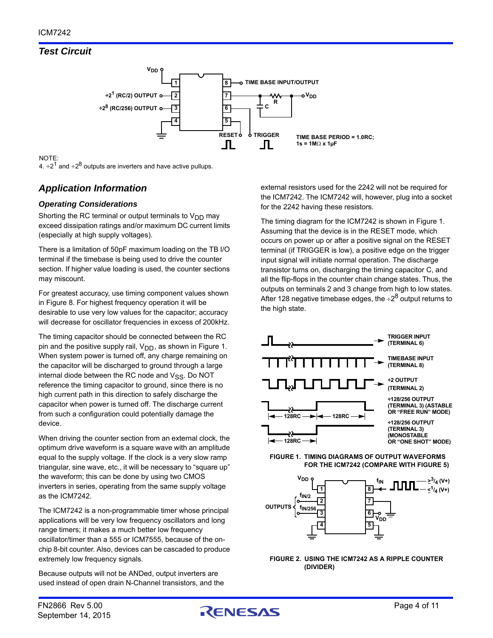# *Test Circuit*



# NOTE:

4.  $\div 2^1$  and  $\div 2^8$  outputs are inverters and have active pullups.

# *Application Information*

### *Operating Considerations*

Shorting the RC terminal or output terminals to  $V_{DD}$  may exceed dissipation ratings and/or maximum DC current limits (especially at high supply voltages).

There is a limitation of 50pF maximum loading on the TB I/O terminal if the timebase is being used to drive the counter section. If higher value loading is used, the counter sections may miscount.

For greatest accuracy, use timing component values shown in Figure [8](#page-6-0). For highest frequency operation it will be desirable to use very low values for the capacitor; accuracy will decrease for oscillator frequencies in excess of 200kHz.

The timing capacitor should be connected between the RC pin and the positive supply rail,  $V_{DD}$ , as shown in Figure [1.](#page-3-0) When system power is turned off, any charge remaining on the capacitor will be discharged to ground through a large internal diode between the RC node and  $V_{SS}$ . Do NOT reference the timing capacitor to ground, since there is no high current path in this direction to safely discharge the capacitor when power is turned off. The discharge current from such a configuration could potentially damage the device.

When driving the counter section from an external clock, the optimum drive waveform is a square wave with an amplitude equal to the supply voltage. If the clock is a very slow ramp triangular, sine wave, etc., it will be necessary to "square up" the waveform; this can be done by using two CMOS inverters in series, operating from the same supply voltage as the ICM7242.

The ICM7242 is a non-programmable timer whose principal applications will be very low frequency oscillators and long range timers; it makes a much better low frequency oscillator/timer than a 555 or ICM7555, because of the onchip 8-bit counter. Also, devices can be cascaded to produce extremely low frequency signals.

Because outputs will not be ANDed, output inverters are used instead of open drain N-Channel transistors, and the

external resistors used for the 2242 will not be required for the ICM7242. The ICM7242 will, however, plug into a socket for the 2242 having these resistors.

The timing diagram for the ICM7242 is shown in Figure [1](#page-3-0). Assuming that the device is in the RESET mode, which occurs on power up or after a positive signal on the RESET terminal (if TRIGGER is low), a positive edge on the trigger input signal will initiate normal operation. The discharge transistor turns on, discharging the timing capacitor C, and all the flip-flops in the counter chain change states. Thus, the outputs on terminals 2 and 3 change from high to low states. After 128 negative timebase edges, the  $\div 2^8$  output returns to the high state.



<span id="page-3-0"></span>



**FIGURE 2. USING THE ICM7242 AS A RIPPLE COUNTER (DIVIDER)**

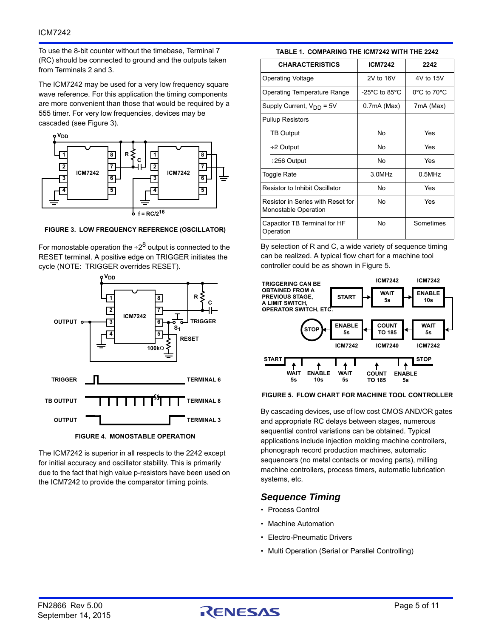To use the 8-bit counter without the timebase, Terminal 7 (RC) should be connected to ground and the outputs taken from Terminals 2 and 3.

The ICM7242 may be used for a very low frequency square wave reference. For this application the timing components are more convenient than those that would be required by a 555 timer. For very low frequencies, devices may be cascaded (see Figure [3\)](#page-4-0).



<span id="page-4-0"></span>**FIGURE 3. LOW FREQUENCY REFERENCE (OSCILLATOR)**

For monostable operation the  $\div 2^8$  output is connected to the RESET terminal. A positive edge on TRIGGER initiates the cycle (NOTE: TRIGGER overrides RESET).



**FIGURE 4. MONOSTABLE OPERATION**

The ICM7242 is superior in all respects to the 2242 except for initial accuracy and oscillator stability. This is primarily due to the fact that high value p-resistors have been used on the ICM7242 to provide the comparator timing points.

**TABLE 1. COMPARING THE ICM7242 WITH THE 2242**

| <b>CHARACTERISTICS</b>                                    | <b>ICM7242</b>                     | 2242                            |  |
|-----------------------------------------------------------|------------------------------------|---------------------------------|--|
| <b>Operating Voltage</b>                                  | 2V to 16V                          | 4V to 15V                       |  |
| Operating Temperature Range                               | $-25^{\circ}$ C to 85 $^{\circ}$ C | $0^{\circ}$ C to $70^{\circ}$ C |  |
| Supply Current, $V_{DD} = 5V$                             | 0.7mA (Max)                        | 7mA (Max)                       |  |
| <b>Pullup Resistors</b>                                   |                                    |                                 |  |
| <b>TB Output</b>                                          | No                                 | Yes                             |  |
| $\div$ 2 Output                                           | No                                 | Yes                             |  |
| ÷256 Output                                               | No                                 | Yes                             |  |
| <b>Toggle Rate</b>                                        | 3.0MHz                             | $0.5$ MHz                       |  |
| <b>Resistor to Inhibit Oscillator</b>                     | No                                 | Yes                             |  |
| Resistor in Series with Reset for<br>Monostable Operation | N٥                                 | Yes                             |  |
| Capacitor TB Terminal for HF<br>Operation                 | No                                 | Sometimes                       |  |

By selection of R and C, a wide variety of sequence timing can be realized. A typical flow chart for a machine tool controller could be as shown in Figure [5.](#page-4-1)



#### <span id="page-4-1"></span>**FIGURE 5. FLOW CHART FOR MACHINE TOOL CONTROLLER**

By cascading devices, use of low cost CMOS AND/OR gates and appropriate RC delays between stages, numerous sequential control variations can be obtained. Typical applications include injection molding machine controllers, phonograph record production machines, automatic sequencers (no metal contacts or moving parts), milling machine controllers, process timers, automatic lubrication systems, etc.

### *Sequence Timing*

- Process Control
- Machine Automation
- Electro-Pneumatic Drivers
- Multi Operation (Serial or Parallel Controlling)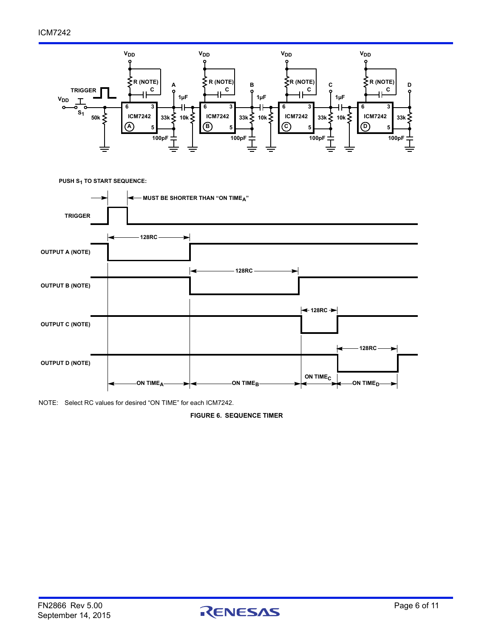

**PUSH S1 TO START SEQUENCE:**



NOTE: Select RC values for desired "ON TIME" for each ICM7242.

**FIGURE 6. SEQUENCE TIMER**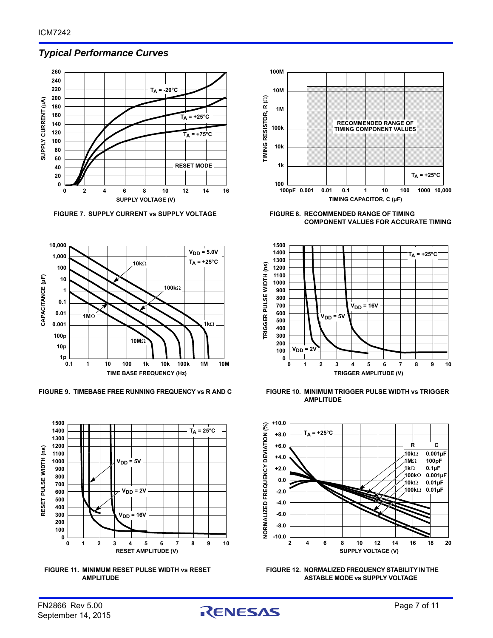### *Typical Performance Curves*



FIGURE 7. SUPPLY CURRENT vs SUPPLY VOLTAGE FIGURE 8. RECOMMENDED RANGE OF TIMING



**FIGURE 9. TIMEBASE FREE RUNNING FREQUENCY vs R AND C FIGURE 10. MINIMUM TRIGGER PULSE WIDTH vs TRIGGER** 







<span id="page-6-0"></span>**COMPONENT VALUES FOR ACCURATE TIMING**



**AMPLITUDE**





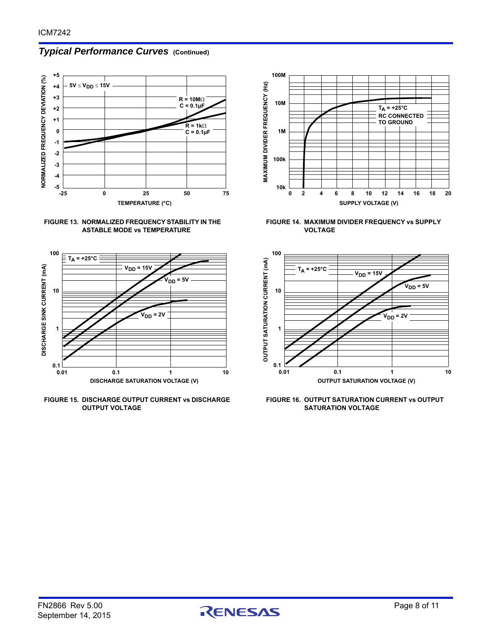# *Typical Performance Curves* **(Continued)**











**FIGURE 14. MAXIMUM DIVIDER FREQUENCY vs SUPPLY VOLTAGE**



**FIGURE 16. OUTPUT SATURATION CURRENT vs OUTPUT SATURATION VOLTAGE**

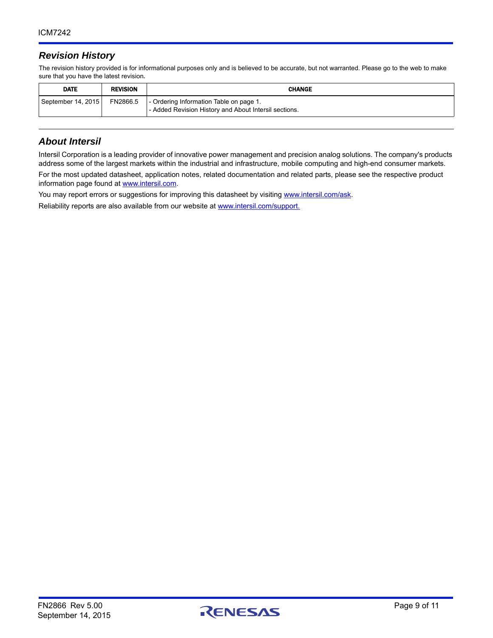## *Revision History*

The revision history provided is for informational purposes only and is believed to be accurate, but not warranted. Please go to the web to make sure that you have the latest revision.

| <b>DATE</b>        | <b>REVISION</b> | <b>CHANGE</b>                                                                                    |
|--------------------|-----------------|--------------------------------------------------------------------------------------------------|
| September 14, 2015 | FN2866.5        | - Ordering Information Table on page 1.<br>- Added Revision History and About Intersil sections. |

### *About Intersil*

Intersil Corporation is a leading provider of innovative power management and precision analog solutions. The company's products address some of the largest markets within the industrial and infrastructure, mobile computing and high-end consumer markets. For the most updated datasheet, application notes, related documentation and related parts, please see the respective product information page found at<www.intersil.com>.

You may report errors or suggestions for improving this datasheet by visiting [www.intersil.com/ask](http://www.intersil.com/en/support.html?OrganizationID=784358&p=createnewticket&p_href=http%3A%2F%2Fwww.intersil.com%2Fen%2Fsupport.html).

Reliability reports are also available from our website at [www.intersil.com/support.](http://www.intersil.com/en/support/qualandreliability.html#reliability)

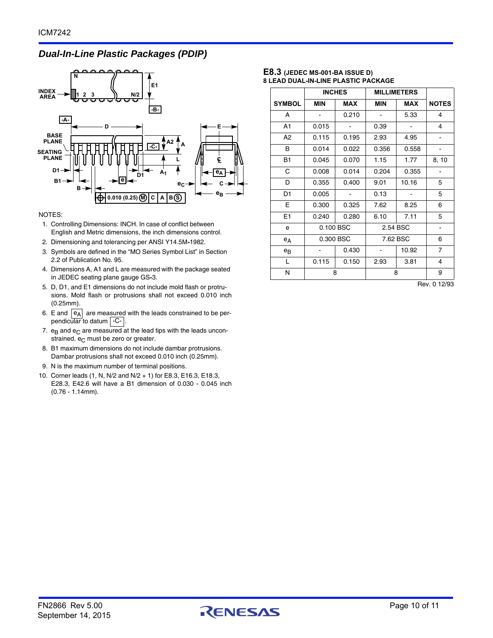### *Dual-In-Line Plastic Packages (PDIP)*



#### NOTES:

- 1. Controlling Dimensions: INCH. In case of conflict between English and Metric dimensions, the inch dimensions control.
- 2. Dimensioning and tolerancing per ANSI Y14.5M**-**1982.
- 3. Symbols are defined in the "MO Series Symbol List" in Section 2.2 of Publication No. 95.
- 4. Dimensions A, A1 and L are measured with the package seated in JEDEC seating plane gauge GS**-**3.
- 5. D, D1, and E1 dimensions do not include mold flash or protrusions. Mold flash or protrusions shall not exceed 0.010 inch (0.25mm).
- 6. E and  $|e_A|$  are measured with the leads constrained to be perpendicular to datum | C- |.
- 7.  $e_B$  and  $e_C$  are measured at the lead tips with the leads unconstrained.  $e_C$  must be zero or greater.
- 8. B1 maximum dimensions do not include dambar protrusions. Dambar protrusions shall not exceed 0.010 inch (0.25mm).
- 9. N is the maximum number of terminal positions.
- 10. Corner leads (1, N, N/2 and N/2 + 1) for E8.3, E16.3, E18.3, E28.3, E42.6 will have a B1 dimension of 0.030 - 0.045 inch (0.76 - 1.14mm).

#### **E8.3 (JEDEC MS-001-BA ISSUE D) 8 LEAD DUAL-IN-LINE PLASTIC PACKAGE**

|                | <b>INCHES</b> |            | <b>MILLIMETERS</b> |            |                |
|----------------|---------------|------------|--------------------|------------|----------------|
| <b>SYMBOL</b>  | <b>MIN</b>    | <b>MAX</b> | <b>MIN</b>         | <b>MAX</b> | <b>NOTES</b>   |
| A              |               | 0.210      |                    | 5.33       | 4              |
| A1             | 0.015         |            | 0.39               |            | 4              |
| A <sub>2</sub> | 0.115         | 0.195      | 2.93               | 4.95       |                |
| в              | 0.014         | 0.022      | 0.356              | 0.558      |                |
| <b>B1</b>      | 0.045         | 0.070      | 1.15               | 1.77       | 8, 10          |
| C              | 0.008         | 0.014      | 0.204              | 0.355      |                |
| D              | 0.355         | 0.400      | 9.01               | 10.16      | 5              |
| D <sub>1</sub> | 0.005         |            | 0.13               |            | 5              |
| Е              | 0.300         | 0.325      | 7.62               | 8.25       | 6              |
| E1             | 0.240         | 0.280      | 6.10               | 7.11       | 5              |
| e              |               | 0.100 BSC  | 2.54 BSC           |            |                |
| eд             | 0.300 BSC     |            | 7.62 BSC           |            | 6              |
| $e_{B}$        |               | 0.430      |                    | 10.92      | $\overline{7}$ |
| L              | 0.115         | 0.150      | 2.93               | 3.81       | 4              |
| Ν              | 8             |            | 8                  |            | 9              |

Rev. 0 12/93